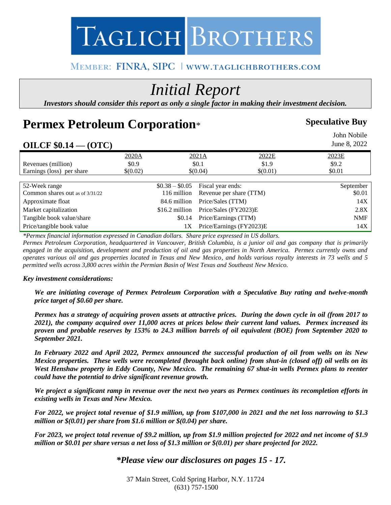# TAGLICH BROTHERS

#### MEMBER: FINRA, SIPC | WWW.TAGLICHBROTHERS.COM

## *Initial Report*

*Investors should consider this report as only a single factor in making their investment decision.*

### **Permex Petroleum Corporation**\*

#### **Speculative Buy**

#### John Nobile **OILCF \$0.14 — (OTC)**  June 8, 2022 2020A 2021A 2022E 2023E Revenues (million)  $$0.9$   $$0.1$   $$1.9$   $$9.2$ Earnings (loss) per share  $\{(0.02)\}\$   $\{(0.04)\}\$   $\{(0.01)\}\$   $\{0.01\}\$   $\{0.01\}\$   $\{0.02\}\$ 52-Week range \$0.38 – \$0.05 Fiscal year ends: September Common shares out as of  $3/31/22$  116 million Revenue per share (TTM) \$0.01 Approximate float 14X and 14X and 14X and 14X and 14X and 14X and 14X and 14X and 14X and 14X and 14X and 14X and 14X and 14X and 14X and 14X and 14X and 14X and 14X and 14X and 14X and 14X and 14X and 14X and 14X and 14X Market capitalization  $$16.2$  million Price/Sales (FY2023)E 2.8X Tangible book value/share  $$0.14$  Price/Earnings (TTM) NMF Price/tangible book value 1X Price/Earnings (FY2023)E 14X

*\*Permex financial information expressed in Canadian dollars. Share price expressed in US dollars.*

*Permex Petroleum Corporation, headquartered in Vancouver, British Columbia, is a junior oil and gas company that is primarily engaged in the acquisition, development and production of oil and gas properties in North America. Permex currently owns and operates various oil and gas properties located in Texas and New Mexico, and holds various royalty interests in 73 wells and 5 permitted wells across 3,800 acres within the Permian Basin of West Texas and Southeast New Mexico.*

#### *Key investment considerations:*

*We are initiating coverage of Permex Petroleum Corporation with a Speculative Buy rating and twelve-month price target of \$0.60 per share.* 

*Permex has a strategy of acquiring proven assets at attractive prices. During the down cycle in oil (from 2017 to 2021), the company acquired over 11,000 acres at prices below their current land values. Permex increased its proven and probable reserves by 153% to 24.3 million barrels of oil equivalent (BOE) from September 2020 to September 2021.*

*In February 2022 and April 2022, Permex announced the successful production of oil from wells on its New Mexico properties. These wells were recompleted (brought back online) from shut-in (closed off) oil wells on its West Henshaw property in Eddy County, New Mexico. The remaining 67 shut-in wells Permex plans to reenter could have the potential to drive significant revenue growth.* 

*We project a significant ramp in revenue over the next two years as Permex continues its recompletion efforts in existing wells in Texas and New Mexico.*

*For 2022, we project total revenue of \$1.9 million, up from \$107,000 in 2021 and the net loss narrowing to \$1.3 million or \$(0.01) per share from \$1.6 million or \$(0.04) per share.* 

*For 2023, we project total revenue of \$9.2 million, up from \$1.9 million projected for 2022 and net income of \$1.9 million or \$0.01 per share versus a net loss of \$1.3 million or \$(0.01) per share projected for 2022.* 

#### *\*Please view our disclosures on pages 15 - 17.*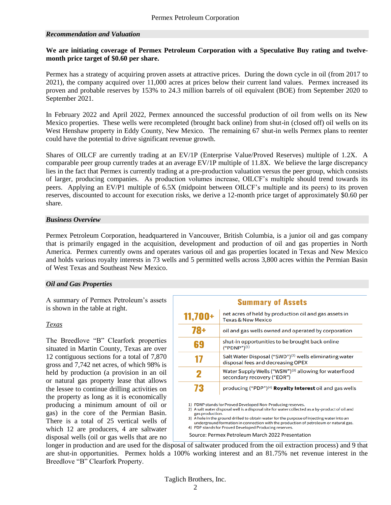#### *Recommendation and Valuation*

#### **We are initiating coverage of Permex Petroleum Corporation with a Speculative Buy rating and twelvemonth price target of \$0.60 per share.**

Permex has a strategy of acquiring proven assets at attractive prices. During the down cycle in oil (from 2017 to 2021), the company acquired over 11,000 acres at prices below their current land values. Permex increased its proven and probable reserves by 153% to 24.3 million barrels of oil equivalent (BOE) from September 2020 to September 2021.

In February 2022 and April 2022, Permex announced the successful production of oil from wells on its New Mexico properties. These wells were recompleted (brought back online) from shut-in (closed off) oil wells on its West Henshaw property in Eddy County, New Mexico. The remaining 67 shut-in wells Permex plans to reenter could have the potential to drive significant revenue growth.

Shares of OILCF are currently trading at an EV/1P (Enterprise Value/Proved Reserves) multiple of 1.2X. A comparable peer group currently trades at an average EV/1P multiple of 11.8X. We believe the large discrepancy lies in the fact that Permex is currently trading at a pre-production valuation versus the peer group, which consists of larger, producing companies. As production volumes increase, OILCF's multiple should trend towards its peers. Applying an EV/P1 multiple of 6.5X (midpoint between OILCF's multiple and its peers) to its proven reserves, discounted to account for execution risks, we derive a 12-month price target of approximately \$0.60 per share.

#### *Business Overview*

Permex Petroleum Corporation, headquartered in Vancouver, British Columbia, is a junior oil and gas company that is primarily engaged in the acquisition, development and production of oil and gas properties in North America. Permex currently owns and operates various oil and gas properties located in Texas and New Mexico and holds various royalty interests in 73 wells and 5 permitted wells across 3,800 acres within the Permian Basin of West Texas and Southeast New Mexico.

#### *Oil and Gas Properties*

A summary of Permex Petroleum's assets is shown in the table at right.

#### *Texas*

The Breedlove "B" Clearfork properties situated in Martin County, Texas are over 12 contiguous sections for a total of 7,870 gross and 7,742 net acres, of which 98% is held by production (a provision in an oil or natural gas property lease that allows the lessee to continue drilling activities on the property as long as it is economically producing a minimum amount of oil or gas) in the core of the Permian Basin. There is a total of 25 vertical wells of which 12 are producers, 4 are saltwater disposal wells (oil or gas wells that are no

|                                                                                                      | <b>Summary of Assets</b>                                                                                                                                                                                                                                                                                                                                                                                       |  |  |  |  |
|------------------------------------------------------------------------------------------------------|----------------------------------------------------------------------------------------------------------------------------------------------------------------------------------------------------------------------------------------------------------------------------------------------------------------------------------------------------------------------------------------------------------------|--|--|--|--|
| $11,700+$                                                                                            | net acres of held by production oil and gas assets in<br><b>Texas &amp; New Mexico</b>                                                                                                                                                                                                                                                                                                                         |  |  |  |  |
| 78+                                                                                                  | oil and gas wells owned and operated by corporation                                                                                                                                                                                                                                                                                                                                                            |  |  |  |  |
| 69                                                                                                   | shut-in opportunities to be brought back online<br>$("PDNP")^{(1)}$                                                                                                                                                                                                                                                                                                                                            |  |  |  |  |
| 17                                                                                                   | Salt Water Disposal ("SWD") <sup>(2)</sup> wells eliminating water<br>disposal fees and decreasing OPEX                                                                                                                                                                                                                                                                                                        |  |  |  |  |
| Water Supply Wells ("WSW") <sup>(3)</sup> allowing for waterflood<br>2<br>secondary recovery ("EOR") |                                                                                                                                                                                                                                                                                                                                                                                                                |  |  |  |  |
| 73                                                                                                   | producing ("PDP") <sup>(4)</sup> Royalty Interest oil and gas wells                                                                                                                                                                                                                                                                                                                                            |  |  |  |  |
| gas production.                                                                                      | 1) PDNP stands for Proved Developed Non-Producing reserves.<br>2) A salt water disposal well is a disposal site for water collected as a by-product of oil and<br>3) A hole in the ground drilled to obtain water for the purpose of injecting water into an<br>underground formation in connection with the production of petroleum or natural gas.<br>4) PDP stands for Proved Developed Producing reserves. |  |  |  |  |

Source: Permex Petroleum March 2022 Presentation

longer in production and are used for the disposal of saltwater produced from the oil extraction process) and 9 that are shut-in opportunities. Permex holds a 100% working interest and an 81.75% net revenue interest in the Breedlove "B" Clearfork Property.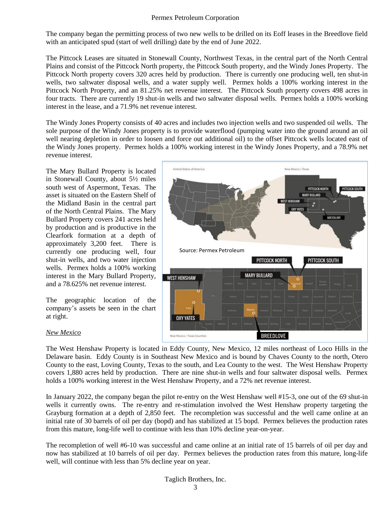The company began the permitting process of two new wells to be drilled on its Eoff leases in the Breedlove field with an anticipated spud (start of well drilling) date by the end of June 2022.

The Pittcock Leases are situated in Stonewall County, Northwest Texas, in the central part of the North Central Plains and consist of the Pittcock North property, the Pittcock South property, and the Windy Jones Property. The Pittcock North property covers 320 acres held by production. There is currently one producing well, ten shut-in wells, two saltwater disposal wells, and a water supply well. Permex holds a 100% working interest in the Pittcock North Property, and an 81.25% net revenue interest. The Pittcock South property covers 498 acres in four tracts. There are currently 19 shut-in wells and two saltwater disposal wells. Permex holds a 100% working interest in the lease, and a 71.9% net revenue interest.

The Windy Jones Property consists of 40 acres and includes two injection wells and two suspended oil wells. The sole purpose of the Windy Jones property is to provide waterflood (pumping water into the ground around an oil well nearing depletion in order to loosen and force out additional oil) to the offset Pittcock wells located east of the Windy Jones property. Permex holds a 100% working interest in the Windy Jones Property, and a 78.9% net revenue interest.

The Mary Bullard Property is located in Stonewall County, about 5½ miles south west of Aspermont, Texas. The asset is situated on the Eastern Shelf of the Midland Basin in the central part of the North Central Plains. The Mary Bullard Property covers 241 acres held by production and is productive in the Clearfork formation at a depth of approximately 3,200 feet. There is currently one producing well, four shut-in wells, and two water injection wells. Permex holds a 100% working interest in the Mary Bullard Property, and a 78.625% net revenue interest.

The geographic location of the company's assets be seen in the chart at right.

#### *New Mexico*



The West Henshaw Property is located in Eddy County, New Mexico, 12 miles northeast of Loco Hills in the Delaware basin. Eddy County is in Southeast New Mexico and is bound by Chaves County to the north, Otero County to the east, Loving County, Texas to the south, and Lea County to the west. The West Henshaw Property covers 1,880 acres held by production. There are nine shut-in wells and four saltwater disposal wells. Permex holds a 100% working interest in the West Henshaw Property, and a 72% net revenue interest.

In January 2022, the company began the pilot re-entry on the West Henshaw well #15-3, one out of the 69 shut-in wells it currently owns. The re-entry and re-stimulation involved the West Henshaw property targeting the Grayburg formation at a depth of 2,850 feet. The recompletion was successful and the well came online at an initial rate of 30 barrels of oil per day (bopd) and has stabilized at 15 bopd. Permex believes the production rates from this mature, long-life well to continue with less than 10% decline year-on-year.

The recompletion of well #6-10 was successful and came online at an initial rate of 15 barrels of oil per day and now has stabilized at 10 barrels of oil per day. Permex believes the production rates from this mature, long-life well, will continue with less than 5% decline year on year.

#### Taglich Brothers, Inc.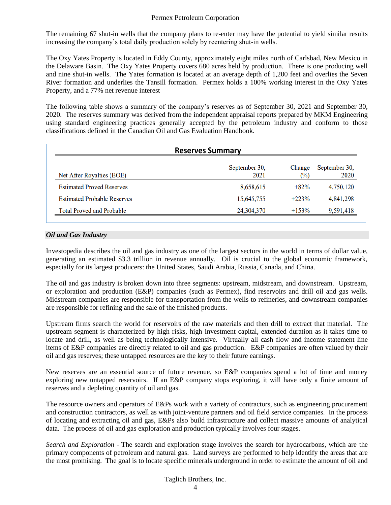The remaining 67 shut-in wells that the company plans to re-enter may have the potential to yield similar results increasing the company's total daily production solely by reentering shut-in wells.

The Oxy Yates Property is located in Eddy County, approximately eight miles north of Carlsbad, New Mexico in the Delaware Basin. The Oxy Yates Property covers 680 acres held by production. There is one producing well and nine shut-in wells. The Yates formation is located at an average depth of 1,200 feet and overlies the Seven River formation and underlies the Tansill formation. Permex holds a 100% working interest in the Oxy Yates Property, and a 77% net revenue interest

The following table shows a summary of the company's reserves as of September 30, 2021 and September 30, 2020. The reserves summary was derived from the independent appraisal reports prepared by MKM Engineering using standard engineering practices generally accepted by the petroleum industry and conform to those classifications defined in the Canadian Oil and Gas Evaluation Handbook.

| <b>Reserves Summary</b>            |                       |                          |                       |  |  |  |  |
|------------------------------------|-----------------------|--------------------------|-----------------------|--|--|--|--|
| Net After Royalties (BOE)          | September 30,<br>2021 | Change<br>$\binom{0}{0}$ | September 30,<br>2020 |  |  |  |  |
| <b>Estimated Proved Reserves</b>   | 8,658,615             | $+82%$                   | 4,750,120             |  |  |  |  |
| <b>Estimated Probable Reserves</b> | 15,645,755            | $+223%$                  | 4,841,298             |  |  |  |  |
| <b>Total Proved and Probable</b>   | 24,304,370            | $+153%$                  | 9,591,418             |  |  |  |  |

#### *Oil and Gas Industry*

Investopedia describes the oil and gas industry as one of the largest sectors in the world in terms of dollar value, generating an estimated \$3.3 trillion in revenue annually. Oil is crucial to the global economic framework, especially for its largest producers: the United States, Saudi Arabia, Russia, Canada, and China.

The oil and gas industry is broken down into three segments: upstream, midstream, and downstream. Upstream, or exploration and production (E&P) companies (such as Permex), find reservoirs and drill oil and gas wells. Midstream companies are responsible for transportation from the wells to refineries, and downstream companies are responsible for refining and the sale of the finished products.

Upstream firms search the world for reservoirs of the raw materials and then drill to extract that material. The upstream segment is characterized by high risks, high investment capital, extended duration as it takes time to locate and drill, as well as being technologically intensive. Virtually all cash flow and income statement line items of E&P companies are directly related to oil and gas production. E&P companies are often valued by their oil and gas reserves; these untapped resources are the key to their future earnings.

New reserves are an essential source of future revenue, so E&P companies spend a lot of time and money exploring new untapped reservoirs. If an E&P company stops exploring, it will have only a finite amount of reserves and a depleting quantity of oil and gas.

The resource owners and operators of E&Ps work with a variety of contractors, such as engineering procurement and construction contractors, as well as with joint-venture partners and oil field service companies. In the process of locating and extracting oil and gas, E&Ps also build infrastructure and collect massive amounts of analytical data. The process of oil and gas exploration and production typically involves four stages.

*Search and Exploration* - The search and exploration stage involves the search for hydrocarbons, which are the primary components of petroleum and natural gas. Land surveys are performed to help identify the areas that are the most promising. The goal is to locate specific minerals underground in order to estimate the amount of oil and

#### Taglich Brothers, Inc.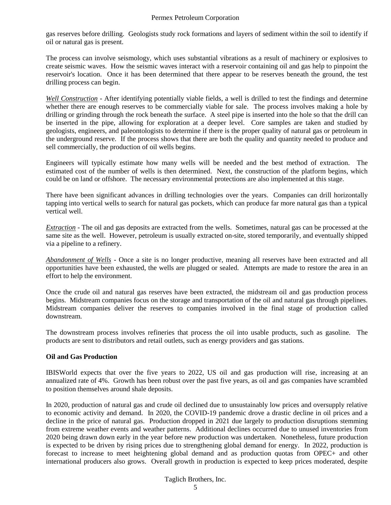gas reserves before drilling. Geologists study rock formations and layers of sediment within the soil to identify if oil or natural gas is present.

The process can involve seismology, which uses substantial vibrations as a result of machinery or explosives to create seismic waves. How the seismic waves interact with a reservoir containing oil and gas help to pinpoint the reservoir's location. Once it has been determined that there appear to be reserves beneath the ground, the test drilling process can begin.

*Well Construction* - After identifying potentially viable fields, a well is drilled to test the findings and determine whether there are enough reserves to be commercially viable for sale. The process involves making a hole by drilling or grinding through the rock beneath the surface. A steel pipe is inserted into the hole so that the drill can be inserted in the pipe, allowing for exploration at a deeper level. Core samples are taken and studied by geologists, engineers, and paleontologists to determine if there is the proper quality of natural gas or petroleum in the underground reserve. If the process shows that there are both the quality and quantity needed to produce and sell commercially, the production of oil wells begins.

Engineers will typically estimate how many wells will be needed and the best method of extraction. The estimated cost of the number of wells is then determined. Next, the construction of the platform begins, which could be on land or offshore. The necessary environmental protections are also implemented at this stage.

There have been significant advances in drilling technologies over the years. Companies can drill horizontally tapping into vertical wells to search for natural gas pockets, which can produce far more natural gas than a typical vertical well.

*Extraction* - The oil and gas deposits are extracted from the wells. Sometimes, natural gas can be processed at the same site as the well. However, petroleum is usually extracted on-site, stored temporarily, and eventually shipped via a pipeline to a refinery.

*Abandonment of Wells* - Once a site is no longer productive, meaning all reserves have been extracted and all opportunities have been exhausted, the wells are plugged or sealed. Attempts are made to restore the area in an effort to help the environment.

Once the crude oil and natural gas reserves have been extracted, the midstream oil and gas production process begins. Midstream companies focus on the storage and transportation of the oil and natural gas through pipelines. Midstream companies deliver the reserves to companies involved in the final stage of production called downstream.

The downstream process involves refineries that process the oil into usable products, such as gasoline. The products are sent to distributors and retail outlets, such as energy providers and gas stations.

#### **Oil and Gas Production**

IBISWorld expects that over the five years to 2022, US oil and gas production will rise, increasing at an annualized rate of 4%. Growth has been robust over the past five years, as oil and gas companies have scrambled to position themselves around shale deposits.

In 2020, production of natural gas and crude oil declined due to unsustainably low prices and oversupply relative to economic activity and demand. In 2020, the COVID-19 pandemic drove a drastic decline in oil prices and a decline in the price of natural gas. Production dropped in 2021 due largely to production disruptions stemming from extreme weather events and weather patterns. Additional declines occurred due to unused inventories from 2020 being drawn down early in the year before new production was undertaken. Nonetheless, future production is expected to be driven by rising prices due to strengthening global demand for energy. In 2022, production is forecast to increase to meet heightening global demand and as production quotas from OPEC+ and other international producers also grows. Overall growth in production is expected to keep prices moderated, despite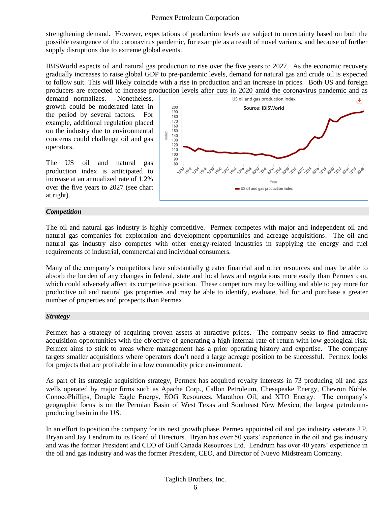strengthening demand. However, expectations of production levels are subject to uncertainty based on both the possible resurgence of the coronavirus pandemic, for example as a result of novel variants, and because of further supply disruptions due to extreme global events.

IBISWorld expects oil and natural gas production to rise over the five years to 2027. As the economic recovery gradually increases to raise global GDP to pre-pandemic levels, demand for natural gas and crude oil is expected to follow suit. This will likely coincide with a rise in production and an increase in prices. Both US and foreign producers are expected to increase production levels after cuts in 2020 amid the coronavirus pandemic and as

demand normalizes. Nonetheless, growth could be moderated later in the period by several factors. For example, additional regulation placed on the industry due to environmental concerns could challenge oil and gas operators.

The US oil and natural gas production index is anticipated to increase at an annualized rate of 1.2% over the five years to 2027 (see chart at right).



#### *Competition*

The oil and natural gas industry is highly competitive. Permex competes with major and independent oil and natural gas companies for exploration and development opportunities and acreage acquisitions. The oil and natural gas industry also competes with other energy-related industries in supplying the energy and fuel requirements of industrial, commercial and individual consumers.

Many of the company's competitors have substantially greater financial and other resources and may be able to absorb the burden of any changes in federal, state and local laws and regulations more easily than Permex can, which could adversely affect its competitive position. These competitors may be willing and able to pay more for productive oil and natural gas properties and may be able to identify, evaluate, bid for and purchase a greater number of properties and prospects than Permex.

#### *Strategy*

Permex has a strategy of acquiring proven assets at attractive prices. The company seeks to find attractive acquisition opportunities with the objective of generating a high internal rate of return with low geological risk. Permex aims to stick to areas where management has a prior operating history and expertise. The company targets smaller acquisitions where operators don't need a large acreage position to be successful. Permex looks for projects that are profitable in a low commodity price environment.

As part of its strategic acquisition strategy, Permex has acquired royalty interests in 73 producing oil and gas wells operated by major firms such as Apache Corp., Callon Petroleum, Chesapeake Energy, Chevron Noble, ConocoPhillips, Dougle Eagle Energy, EOG Resources, Marathon Oil, and XTO Energy. The company's geographic focus is on the Permian Basin of West Texas and Southeast New Mexico, the largest petroleumproducing basin in the US.

In an effort to position the company for its next growth phase, Permex appointed oil and gas industry veterans J.P. Bryan and Jay Lendrum to its Board of Directors. Bryan has over 50 years' experience in the oil and gas industry and was the former President and CEO of Gulf Canada Resources Ltd. Lendrum has over 40 years' experience in the oil and gas industry and was the former President, CEO, and Director of Nuevo Midstream Company.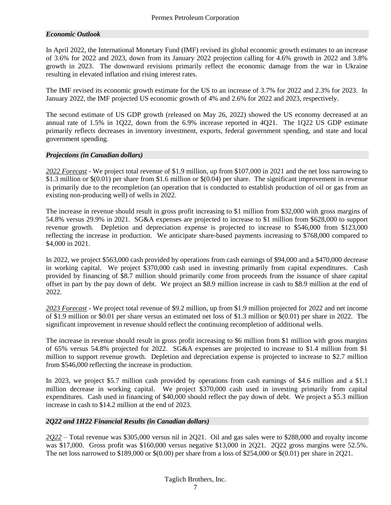#### *Economic Outlook*

In April 2022, the International Monetary Fund (IMF) revised its global economic growth estimates to an increase of 3.6% for 2022 and 2023, down from its January 2022 projection calling for 4.6% growth in 2022 and 3.8% growth in 2023. The downward revisions primarily reflect the economic damage from the war in Ukraine resulting in elevated inflation and rising interest rates.

The IMF revised its economic growth estimate for the US to an increase of 3.7% for 2022 and 2.3% for 2023. In January 2022, the IMF projected US economic growth of 4% and 2.6% for 2022 and 2023, respectively.

The second estimate of US GDP growth (released on May 26, 2022) showed the US economy decreased at an annual rate of 1.5% in 1Q22, down from the 6.9% increase reported in 4Q21. The 1Q22 US GDP estimate primarily reflects decreases in inventory investment, exports, federal government spending, and state and local government spending.

#### *Projections (in Canadian dollars)*

*2022 Forecast* - We project total revenue of \$1.9 million, up from \$107,000 in 2021 and the net loss narrowing to \$1.3 million or \$(0.01) per share from \$1.6 million or \$(0.04) per share. The significant improvement in revenue is primarily due to the recompletion (an operation that is conducted to establish production of oil or gas from an existing non-producing well) of wells in 2022.

The increase in revenue should result in gross profit increasing to \$1 million from \$32,000 with gross margins of 54.8% versus 29.9% in 2021. SG&A expenses are projected to increase to \$1 million from \$628,000 to support revenue growth. Depletion and depreciation expense is projected to increase to \$546,000 from \$123,000 reflecting the increase in production. We anticipate share-based payments increasing to \$768,000 compared to \$4,000 in 2021.

In 2022, we project \$563,000 cash provided by operations from cash earnings of \$94,000 and a \$470,000 decrease in working capital. We project \$370,000 cash used in investing primarily from capital expenditures. Cash provided by financing of \$8.7 million should primarily come from proceeds from the issuance of share capital offset in part by the pay down of debt. We project an \$8.9 million increase in cash to \$8.9 million at the end of 2022.

*2023 Forecast* - We project total revenue of \$9.2 million, up from \$1.9 million projected for 2022 and net income of \$1.9 million or \$0.01 per share versus an estimated net loss of \$1.3 million or \$(0.01) per share in 2022. The significant improvement in revenue should reflect the continuing recompletion of additional wells.

The increase in revenue should result in gross profit increasing to \$6 million from \$1 million with gross margins of 65% versus 54.8% projected for 2022. SG&A expenses are projected to increase to \$1.4 million from \$1 million to support revenue growth. Depletion and depreciation expense is projected to increase to \$2.7 million from \$546,000 reflecting the increase in production.

In 2023, we project \$5.7 million cash provided by operations from cash earnings of \$4.6 million and a \$1.1 million decrease in working capital. We project \$370,000 cash used in investing primarily from capital expenditures. Cash used in financing of \$40,000 should reflect the pay down of debt. We project a \$5.3 million increase in cash to \$14.2 million at the end of 2023.

#### *2Q22 and 1H22 Financial Results (in Canadian dollars)*

*2Q22* – Total revenue was \$305,000 versus nil in 2Q21. Oil and gas sales were to \$288,000 and royalty income was \$17,000. Gross profit was \$160,000 versus negative \$13,000 in 2Q21. 2Q22 gross margins were 52.5%. The net loss narrowed to \$189,000 or  $$(0.00)$  per share from a loss of \$254,000 or  $$(0.01)$  per share in 2Q21.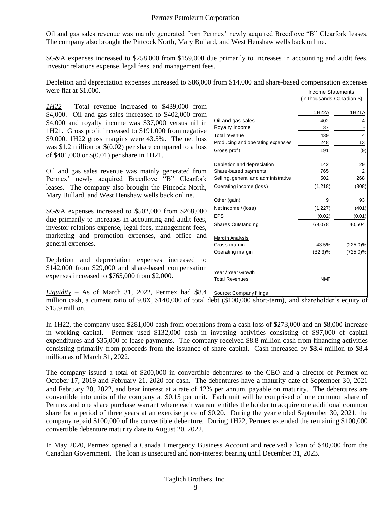Oil and gas sales revenue was mainly generated from Permex' newly acquired Breedlove "B" Clearfork leases. The company also brought the Pittcock North, Mary Bullard, and West Henshaw wells back online.

SG&A expenses increased to \$258,000 from \$159,000 due primarily to increases in accounting and audit fees, investor relations expense, legal fees, and management fees.

Income Statements Depletion and depreciation expenses increased to \$86,000 from \$14,000 and share-based compensation expenses were flat at \$1,000.

*1H22* – Total revenue increased to \$439,000 from \$4,000. Oil and gas sales increased to \$402,000 from \$4,000 and royalty income was \$37,000 versus nil in 1H21. Gross profit increased to \$191,000 from negative \$9,000. 1H22 gross margins were 43.5%. The net loss was \$1.2 million or \$(0.02) per share compared to a loss of \$401,000 or \$(0.01) per share in 1H21.

Oil and gas sales revenue was mainly generated from Permex' newly acquired Breedlove "B" Clearfork leases. The company also brought the Pittcock North, Mary Bullard, and West Henshaw wells back online.

SG&A expenses increased to \$502,000 from \$268,000 due primarily to increases in accounting and audit fees, investor relations expense, legal fees, management fees, marketing and promotion expenses, and office and general expenses.

Depletion and depreciation expenses increased to \$142,000 from \$29,000 and share-based compensation expenses increased to \$765,000 from \$2,000.

*Liquidity* – As of March 31, 2022, Permex had \$8.4

million cash, a current ratio of 9.8X, \$140,000 of total debt (\$100,000 short-term), and shareholder's equity of \$15.9 million.

In 1H22, the company used \$281,000 cash from operations from a cash loss of \$273,000 and an \$8,000 increase in working capital. Permex used \$132,000 cash in investing activities consisting of \$97,000 of capital expenditures and \$35,000 of lease payments. The company received \$8.8 million cash from financing activities consisting primarily from proceeds from the issuance of share capital. Cash increased by \$8.4 million to \$8.4 million as of March 31, 2022.

The company issued a total of \$200,000 in convertible debentures to the CEO and a director of Permex on October 17, 2019 and February 21, 2020 for cash. The debentures have a maturity date of September 30, 2021 and February 20, 2022, and bear interest at a rate of 12% per annum, payable on maturity. The debentures are convertible into units of the company at \$0.15 per unit. Each unit will be comprised of one common share of Permex and one share purchase warrant where each warrant entitles the holder to acquire one additional common share for a period of three years at an exercise price of \$0.20. During the year ended September 30, 2021, the company repaid \$100,000 of the convertible debenture. During 1H22, Permex extended the remaining \$100,000 convertible debenture maturity date to August 20, 2022.

In May 2020, Permex opened a Canada Emergency Business Account and received a loan of \$40,000 from the Canadian Government. The loan is unsecured and non-interest bearing until December 31, 2023.

| Income Statements                           |                            |                         |  |  |
|---------------------------------------------|----------------------------|-------------------------|--|--|
|                                             | (in thousands Canadian \$) |                         |  |  |
|                                             | 1H22A                      | 1H21A                   |  |  |
| Oil and gas sales                           | 402                        | 4                       |  |  |
| Royalty income                              | 37                         |                         |  |  |
| Total revenue                               | 439                        | $\overline{\mathbf{4}}$ |  |  |
| Producing and operating expenses            | 248                        | 13                      |  |  |
| Gross profit                                | 191                        | (9)                     |  |  |
| Depletion and depreciation                  | 142                        | 29                      |  |  |
| Share-based payments                        | 765                        | 2                       |  |  |
| Selling, general and administrative         | 502                        | 268                     |  |  |
| Operating income (loss)                     | (1,218)                    | (308)                   |  |  |
| Other (gain)                                | 9                          | 93                      |  |  |
| Net income / (loss)                         | (1,227)                    | (401)                   |  |  |
| EPS                                         | (0.02)                     | (0.01)                  |  |  |
| Shares Outstanding                          | 69,078                     | 40,504                  |  |  |
| <b>Margin Analysis</b>                      |                            |                         |  |  |
| Gross margin                                | 43.5%                      | $(225.0)\%$             |  |  |
| Operating margin                            | $(32.3)\%$                 | $(725.0)\%$             |  |  |
| Year / Year Growth<br><b>Total Revenues</b> | <b>NMF</b>                 |                         |  |  |
| Source: Company filings                     |                            |                         |  |  |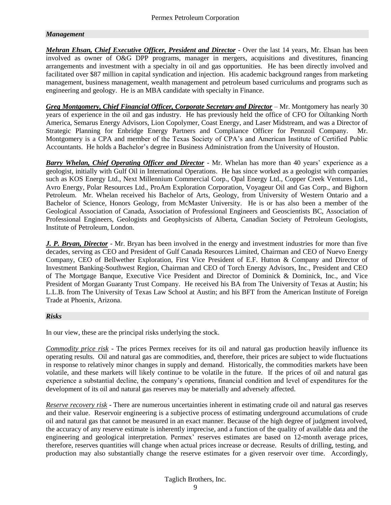#### *Management*

*Mehran Ehsan, Chief Executive Officer, President and Director* - Over the last 14 years, Mr. Ehsan has been involved as owner of O&G DPP programs, manager in mergers, acquisitions and divestitures, financing arrangements and investment with a specialty in oil and gas opportunities. He has been directly involved and facilitated over \$87 million in capital syndication and injection. His academic background ranges from marketing management, business management, wealth management and petroleum based curriculums and programs such as engineering and geology. He is an MBA candidate with specialty in Finance.

*Greg Montgomery, Chief Financial Officer, Corporate Secretary and Director* – Mr. Montgomery has nearly 30 years of experience in the oil and gas industry. He has previously held the office of CFO for Oiltanking North America, Semarus Energy Advisors, Lion Copolymer, Coast Energy, and Laser Midstream, and was a Director of Strategic Planning for Enbridge Energy Partners and Compliance Officer for Pennzoil Company. Mr. Montgomery is a CPA and member of the Texas Society of CPA's and American Institute of Certified Public Accountants. He holds a Bachelor's degree in Business Administration from the University of Houston.

*Barry Whelan, Chief Operating Officer and Director* - Mr. Whelan has more than 40 years' experience as a geologist, initially with Gulf Oil in International Operations. He has since worked as a geologist with companies such as KOS Energy Ltd., Next Millennium Commercial Corp., Opal Energy Ltd., Copper Creek Ventures Ltd., Avro Energy, Polar Resources Ltd., ProAm Exploration Corporation, Voyageur Oil and Gas Corp., and Bighorn Petroleum. Mr. Whelan received his Bachelor of Arts, Geology, from University of Western Ontario and a Bachelor of Science, Honors Geology, from McMaster University. He is or has also been a member of the Geological Association of Canada, Association of Professional Engineers and Geoscientists BC, Association of Professional Engineers, Geologists and Geophysicists of Alberta, Canadian Society of Petroleum Geologists, Institute of Petroleum, London.

*J. P. Bryan, Director* - Mr. Bryan has been involved in the energy and investment industries for more than five decades, serving as CEO and President of Gulf Canada Resources Limited, Chairman and CEO of Nuevo Energy Company, CEO of Bellwether Exploration, First Vice President of E.F. Hutton & Company and Director of Investment Banking-Southwest Region, Chairman and CEO of Torch Energy Advisors, Inc., President and CEO of The Mortgage Banque, Executive Vice President and Director of Dominick & Dominick, Inc., and Vice President of Morgan Guaranty Trust Company. He received his BA from The University of Texas at Austin; his L.L.B. from The University of Texas Law School at Austin; and his BFT from the American Institute of Foreign Trade at Phoenix, Arizona.

#### *Risks*

In our view, these are the principal risks underlying the stock.

*Commodity price risk* - The prices Permex receives for its oil and natural gas production heavily influence its operating results. Oil and natural gas are commodities, and, therefore, their prices are subject to wide fluctuations in response to relatively minor changes in supply and demand. Historically, the commodities markets have been volatile, and these markets will likely continue to be volatile in the future. If the prices of oil and natural gas experience a substantial decline, the company's operations, financial condition and level of expenditures for the development of its oil and natural gas reserves may be materially and adversely affected.

*Reserve recovery risk* - There are numerous uncertainties inherent in estimating crude oil and natural gas reserves and their value. Reservoir engineering is a subjective process of estimating underground accumulations of crude oil and natural gas that cannot be measured in an exact manner. Because of the high degree of judgment involved, the accuracy of any reserve estimate is inherently imprecise, and a function of the quality of available data and the engineering and geological interpretation. Permex' reserves estimates are based on 12-month average prices, therefore, reserves quantities will change when actual prices increase or decrease. Results of drilling, testing, and production may also substantially change the reserve estimates for a given reservoir over time. Accordingly,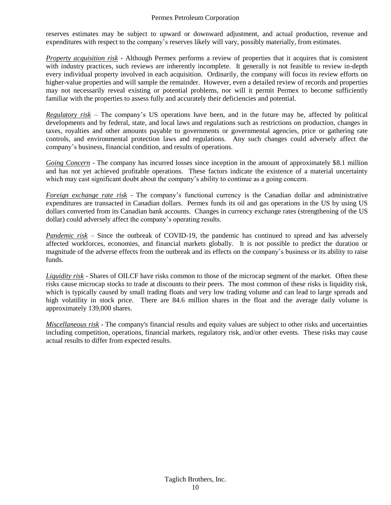reserves estimates may be subject to upward or downward adjustment, and actual production, revenue and expenditures with respect to the company's reserves likely will vary, possibly materially, from estimates.

*Property acquisition risk* - Although Permex performs a review of properties that it acquires that is consistent with industry practices, such reviews are inherently incomplete. It generally is not feasible to review in-depth every individual property involved in each acquisition. Ordinarily, the company will focus its review efforts on higher-value properties and will sample the remainder. However, even a detailed review of records and properties may not necessarily reveal existing or potential problems, nor will it permit Permex to become sufficiently familiar with the properties to assess fully and accurately their deficiencies and potential.

*Regulatory risk* – The company's US operations have been, and in the future may be, affected by political developments and by federal, state, and local laws and regulations such as restrictions on production, changes in taxes, royalties and other amounts payable to governments or governmental agencies, price or gathering rate controls, and environmental protection laws and regulations. Any such changes could adversely affect the company's business, financial condition, and results of operations.

*Going Concern* - The company has incurred losses since inception in the amount of approximately \$8.1 million and has not yet achieved profitable operations. These factors indicate the existence of a material uncertainty which may cast significant doubt about the company's ability to continue as a going concern.

*Foreign exchange rate risk* - The company's functional currency is the Canadian dollar and administrative expenditures are transacted in Canadian dollars. Permex funds its oil and gas operations in the US by using US dollars converted from its Canadian bank accounts. Changes in currency exchange rates (strengthening of the US dollar) could adversely affect the company's operating results.

*Pandemic risk* – Since the outbreak of COVID-19, the pandemic has continued to spread and has adversely affected workforces, economies, and financial markets globally. It is not possible to predict the duration or magnitude of the adverse effects from the outbreak and its effects on the company's business or its ability to raise funds.

*Liquidity risk* - Shares of OILCF have risks common to those of the microcap segment of the market. Often these risks cause microcap stocks to trade at discounts to their peers. The most common of these risks is liquidity risk, which is typically caused by small trading floats and very low trading volume and can lead to large spreads and high volatility in stock price. There are 84.6 million shares in the float and the average daily volume is approximately 139,000 shares.

*Miscellaneous risk* - The company's financial results and equity values are subject to other risks and uncertainties including competition, operations, financial markets, regulatory risk, and/or other events. These risks may cause actual results to differ from expected results.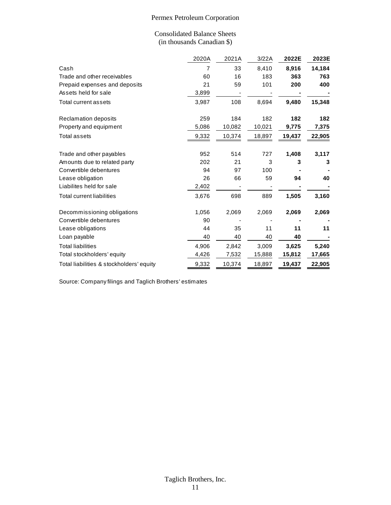#### Consolidated Balance Sheets (in thousands Canadian \$)

|                                          | (III thousanus Canaulan 9) |        |        |        |        |
|------------------------------------------|----------------------------|--------|--------|--------|--------|
|                                          | 2020A                      | 2021A  | 3/22A  | 2022E  | 2023E  |
| Cash                                     | 7                          | 33     | 8,410  | 8,916  | 14,184 |
| Trade and other receivables              | 60                         | 16     | 183    | 363    | 763    |
| Prepaid expenses and deposits            | 21                         | 59     | 101    | 200    | 400    |
| Assets held for sale                     | 3,899                      |        |        |        |        |
| Total current assets                     | 3,987                      | 108    | 8,694  | 9,480  | 15,348 |
| Reclamation deposits                     | 259                        | 184    | 182    | 182    | 182    |
| Property and equipment                   | 5,086                      | 10,082 | 10,021 | 9,775  | 7,375  |
| <b>Total assets</b>                      | 9,332                      | 10,374 | 18,897 | 19,437 | 22,905 |
| Trade and other payables                 | 952                        | 514    | 727    | 1,408  | 3,117  |
| Amounts due to related party             | 202                        | 21     | 3      | 3      | 3      |
| Convertible debentures                   | 94                         | 97     | 100    |        |        |
| Lease obligation                         | 26                         | 66     | 59     | 94     | 40     |
| Liabilites held for sale                 | 2,402                      |        |        |        |        |
| <b>Total current liabilities</b>         | 3,676                      | 698    | 889    | 1,505  | 3,160  |
| Decommissioning obligations              | 1,056                      | 2,069  | 2,069  | 2,069  | 2,069  |
| Convertible debentures                   | 90                         |        |        |        |        |
| Lease obligations                        | 44                         | 35     | 11     | 11     | 11     |
| Loan payable                             | 40                         | 40     | 40     | 40     |        |
| <b>Total liabilities</b>                 | 4,906                      | 2,842  | 3,009  | 3,625  | 5,240  |
| Total stockholders' equity               | 4,426                      | 7,532  | 15,888 | 15,812 | 17,665 |
| Total liabilities & stockholders' equity | 9,332                      | 10,374 | 18,897 | 19,437 | 22,905 |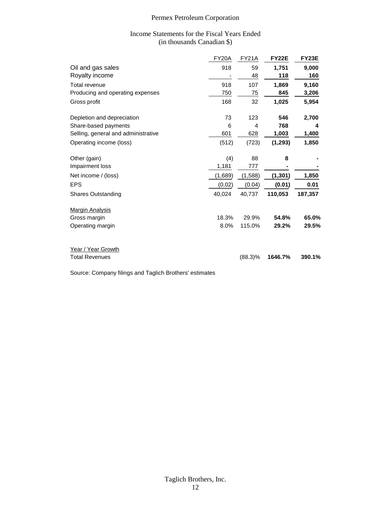#### Income Statements for the Fiscal Years Ended (in thousands Canadian \$)

|                                     | <b>FY20A</b> | <b>FY21A</b> | <b>FY22E</b> | <b>FY23E</b> |
|-------------------------------------|--------------|--------------|--------------|--------------|
| Oil and gas sales                   | 918          | 59           | 1,751        | 9,000        |
| Royalty income                      |              | 48           | 118          | 160          |
| Total revenue                       | 918          | 107          | 1,869        | 9,160        |
| Producing and operating expenses    | 750          | 75           | 845          | 3,206        |
| Gross profit                        | 168          | 32           | 1,025        | 5,954        |
| Depletion and depreciation          | 73           | 123          | 546          | 2,700        |
| Share-based payments                | 6            | 4            | 768          | 4            |
| Selling, general and administrative | 601          | 628          | 1,003        | 1,400        |
| Operating income (loss)             | (512)        | (723)        | (1, 293)     | 1,850        |
| Other (gain)                        | (4)          | 88           | 8            |              |
| Impairment loss                     | 1,181        | 777          |              |              |
| Net income / (loss)                 | (1,689)      | (1,588)      | (1, 301)     | 1,850        |
| <b>EPS</b>                          | (0.02)       | (0.04)       | (0.01)       | 0.01         |
| Shares Outstanding                  | 40,024       | 40,737       | 110,053      | 187,357      |
| <b>Margin Analysis</b>              |              |              |              |              |
| Gross margin                        | 18.3%        | 29.9%        | 54.8%        | 65.0%        |
| Operating margin                    | 8.0%         | 115.0%       | 29.2%        | 29.5%        |
| Year / Year Growth                  |              |              |              |              |
| <b>Total Revenues</b>               |              | $(88.3)\%$   | 1646.7%      | 390.1%       |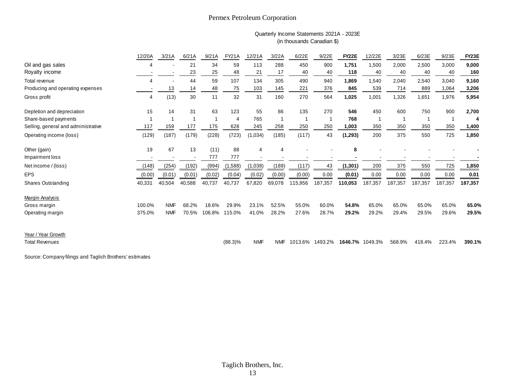#### Quarterly Income Statements 2021A - 2023E (in thousands Canadian \$)

|                                     | Quarterly Income Statements 2021A - 2023E<br>(in thousands Canadian \$) |                          |        |        |            |                |            |         |         |                 |         |         |         |                         |                    |
|-------------------------------------|-------------------------------------------------------------------------|--------------------------|--------|--------|------------|----------------|------------|---------|---------|-----------------|---------|---------|---------|-------------------------|--------------------|
|                                     | 12/20A                                                                  | 3/21A                    | 6/21A  | 9/21A  | FY21A      | 12/21A         | 3/22A      | 6/22E   | 9/22E   | <b>FY22E</b>    | 12/22E  | 3/23E   | 6/23E   | 9/23E                   | FY <sub>23</sub> E |
| Oil and gas sales                   | 4                                                                       |                          | 21     | 34     | 59         | 113            | 288        | 450     | 900     | 1,751           | 1,500   | 2,000   | 2,500   | 3,000                   | 9,000              |
| Royalty income                      |                                                                         |                          | 23     | 25     | 48         | 21             | 17         | 40      | 40      | 118             | 40      | 40      | 40      | 40                      | 160                |
| Total revenue                       | 4                                                                       |                          | 44     | 59     | 107        | 134            | 305        | 490     | 940     | 1,869           | 1,540   | 2,040   | 2,540   | 3,040                   | 9,160              |
| Producing and operating expenses    |                                                                         | 13                       | 14     | 48     | 75         | 103            | 145        | 221     | 376     | 845             | 539     | 714     | 889     | 1,064                   | 3,206              |
| Gross profit                        | 4                                                                       | (13)                     | 30     | 11     | 32         | 31             | 160        | 270     | 564     | 1,025           | 1,001   | 1,326   | 1,651   | 1,976                   | 5,954              |
| Depletion and depreciation          | 15                                                                      | 14                       | 31     | 63     | 123        | 55             | 86         | 135     | 270     | 546             | 450     | 600     | 750     | 900                     | 2,700              |
| Share-based payments                |                                                                         | $\overline{\phantom{a}}$ |        |        | 4          | 765            | 1          |         |         | 768             |         |         | -1      | $\overline{\mathbf{1}}$ | 4                  |
| Selling, general and administrative | 117                                                                     | 159                      | 177    | 175    | 628        | 245            | 258        | 250     | 250     | 1,003           | 350     | 350     | 350     | 350                     | 1,400              |
| Operating income (loss)             | (129)                                                                   | (187)                    | (179)  | (228)  | (723)      | (1,034)        | (185)      | (117)   | 43      | (1, 293)        | 200     | 375     | 550     | 725                     | 1,850              |
| Other (gain)                        | 19                                                                      | 67                       | 13     | (11)   | 88         | $\overline{4}$ | 4          |         |         | 8               |         |         |         |                         |                    |
| Impairment loss                     |                                                                         |                          |        | 777    | 777        |                |            |         |         |                 |         |         |         |                         |                    |
| Net income / (loss)                 | (148)                                                                   | (254)                    | (192)  | (994)  | (1,588)    | (1,038)        | (189)      | (117)   | 43      | (1, 301)        | 200     | 375     | 550     | 725                     | 1,850              |
| <b>EPS</b>                          | (0.00)                                                                  | (0.01)                   | (0.01) | (0.02) | (0.04)     | (0.02)         | (0.00)     | (0.00)  | 0.00    | (0.01)          | 0.00    | 0.00    | 0.00    | 0.00                    | 0.01               |
| Shares Outstanding                  | 40,331                                                                  | 40,504                   | 40,588 | 40,737 | 40,737     | 67,820         | 69,078     | 115,956 | 187,357 | 110,053         | 187,357 | 187,357 | 187,357 | 187,357                 | 187,357            |
| Margin Analysis                     |                                                                         |                          |        |        |            |                |            |         |         |                 |         |         |         |                         |                    |
| Gross margin                        | 100.0%                                                                  | <b>NMF</b>               | 68.2%  | 18.6%  | 29.9%      | 23.1%          | 52.5%      | 55.0%   | 60.0%   | 54.8%           | 65.0%   | 65.0%   | 65.0%   | 65.0%                   | 65.0%              |
| Operating margin                    | 375.0%                                                                  | <b>NMF</b>               | 70.5%  | 106.8% | 115.0%     | 41.0%          | 28.2%      | 27.6%   | 28.7%   | 29.2%           | 29.2%   | 29.4%   | 29.5%   | 29.6%                   | 29.5%              |
| Year / Year Growth                  |                                                                         |                          |        |        |            |                |            |         |         |                 |         |         |         |                         |                    |
| <b>Total Revenues</b>               |                                                                         |                          |        |        | $(88.3)\%$ | <b>NMF</b>     | <b>NMF</b> | 1013.6% | 1493.2% | 1646.7% 1049.3% |         | 568.9%  | 418.4%  | 223.4%                  | 390.1%             |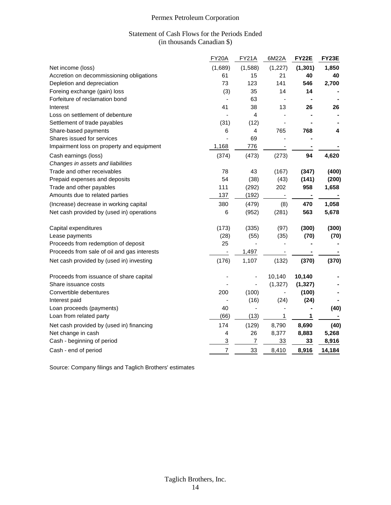#### Statement of Cash Flows for the Periods Ended (in thousands Canadian \$)

|                                             | FY20A          | <b>FY21A</b> | 6M22A    | <b>FY22E</b>   | FY23E  |
|---------------------------------------------|----------------|--------------|----------|----------------|--------|
| Net income (loss)                           | (1,689)        | (1,588)      | (1, 227) | (1, 301)       | 1,850  |
| Accretion on decommissioning obligations    | 61             | 15           | 21       | 40             | 40     |
| Depletion and depreciation                  | 73             | 123          | 141      | 546            | 2,700  |
| Foreing exchange (gain) loss                | (3)            | 35           | 14       | 14             |        |
| Forfeiture of reclamation bond              |                | 63           |          | $\blacksquare$ |        |
| Interest                                    | 41             | 38           | 13       | 26             | 26     |
| Loss on settlement of debenture             |                | 4            |          |                |        |
| Settlement of trade payables                | (31)           | (12)         |          |                |        |
| Share-based payments                        | 6              | 4            | 765      | 768            | 4      |
| Shares issued for services                  |                | 69           |          |                |        |
| Impairment loss on property and equipment   | 1,168          | 776          |          |                |        |
| Cash earnings (loss)                        | (374)          | (473)        | (273)    | 94             | 4,620  |
| Changes in assets and liabilities           |                |              |          |                |        |
| Trade and other receivables                 | 78             | 43           | (167)    | (347)          | (400)  |
| Prepaid expenses and deposits               | 54             | (38)         | (43)     | (141)          | (200)  |
| Trade and other payables                    | 111            | (292)        | 202      | 958            | 1,658  |
| Amounts due to related parties              | 137            | (192)        |          |                |        |
| (Increase) decrease in working capital      | 380            | (479)        | (8)      | 470            | 1,058  |
| Net cash provided by (used in) operations   | 6              | (952)        | (281)    | 563            | 5,678  |
| Capital expenditures                        | (173)          | (335)        | (97)     | (300)          | (300)  |
| Lease payments                              | (28)           | (55)         | (35)     | (70)           | (70)   |
| Proceeds from redemption of deposit         | 25             |              |          |                |        |
| Proceeds from sale of oil and gas interests |                | 1,497        |          |                |        |
| Net cash provided by (used in) investing    | (176)          | 1,107        | (132)    | (370)          | (370)  |
| Proceeds from issuance of share capital     |                |              | 10,140   | 10,140         |        |
| Share issuance costs                        |                |              | (1, 327) | (1, 327)       |        |
| Convertible debentures                      | 200            | (100)        |          | (100)          |        |
| Interest paid                               |                | (16)         | (24)     | (24)           |        |
| Loan proceeds (payments)                    | 40             |              |          | $\blacksquare$ | (40)   |
| Loan from related party                     | (66)           | (13)         | 1        | 1              |        |
| Net cash provided by (used in) financing    | 174            | (129)        | 8,790    | 8,690          | (40)   |
| Net change in cash                          | 4              | 26           | 8,377    | 8,883          | 5,268  |
| Cash - beginning of period                  | 3              | 7            | 33       | 33             | 8,916  |
| Cash - end of period                        | $\overline{7}$ | 33           | 8,410    | 8,916          | 14,184 |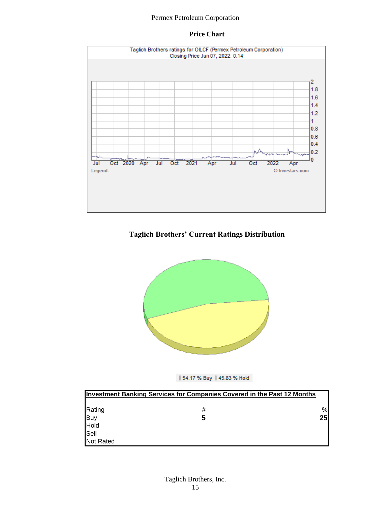#### **Price Chart**



#### **Taglich Brothers' Current Ratings Distribution**



#### || 54.17 % Buy || 45.83 % Hold

|                     | <b>Investment Banking Services for Companies Covered in the Past 12 Months</b> |               |
|---------------------|--------------------------------------------------------------------------------|---------------|
|                     |                                                                                |               |
| Rating              | #                                                                              | $\frac{9}{6}$ |
|                     | 5                                                                              | 25            |
|                     |                                                                                |               |
| Buy<br>Hold<br>Sell |                                                                                |               |
| Not Rated           |                                                                                |               |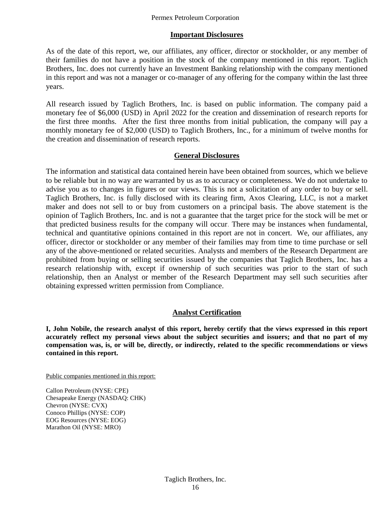#### **Important Disclosures**

As of the date of this report, we, our affiliates, any officer, director or stockholder, or any member of their families do not have a position in the stock of the company mentioned in this report. Taglich Brothers, Inc. does not currently have an Investment Banking relationship with the company mentioned in this report and was not a manager or co-manager of any offering for the company within the last three years.

All research issued by Taglich Brothers, Inc. is based on public information. The company paid a monetary fee of \$6,000 (USD) in April 2022 for the creation and dissemination of research reports for the first three months. After the first three months from initial publication, the company will pay a monthly monetary fee of \$2,000 (USD) to Taglich Brothers, Inc., for a minimum of twelve months for the creation and dissemination of research reports.

#### **General Disclosures**

The information and statistical data contained herein have been obtained from sources, which we believe to be reliable but in no way are warranted by us as to accuracy or completeness. We do not undertake to advise you as to changes in figures or our views. This is not a solicitation of any order to buy or sell. Taglich Brothers, Inc. is fully disclosed with its clearing firm, Axos Clearing, LLC, is not a market maker and does not sell to or buy from customers on a principal basis. The above statement is the opinion of Taglich Brothers, Inc. and is not a guarantee that the target price for the stock will be met or that predicted business results for the company will occur. There may be instances when fundamental, technical and quantitative opinions contained in this report are not in concert. We, our affiliates, any officer, director or stockholder or any member of their families may from time to time purchase or sell any of the above-mentioned or related securities. Analysts and members of the Research Department are prohibited from buying or selling securities issued by the companies that Taglich Brothers, Inc. has a research relationship with, except if ownership of such securities was prior to the start of such relationship, then an Analyst or member of the Research Department may sell such securities after obtaining expressed written permission from Compliance.

#### **Analyst Certification**

**I, John Nobile, the research analyst of this report, hereby certify that the views expressed in this report accurately reflect my personal views about the subject securities and issuers; and that no part of my compensation was, is, or will be, directly, or indirectly, related to the specific recommendations or views contained in this report.**

Public companies mentioned in this report:

Callon Petroleum (NYSE: CPE) Chesapeake Energy (NASDAQ: CHK) Chevron (NYSE: CVX) Conoco Phillips (NYSE: COP) EOG Resources (NYSE: EOG) Marathon Oil (NYSE: MRO)